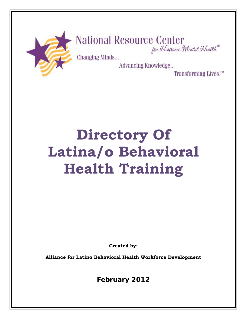

# National Resource Center<br>for Hispanic Mental Health

Changing Minds...

Advancing Knowledge...

Transforming Lives.<sup>™</sup>

# **Directory Of Latina/o Behavioral Health Training**

**Created by:**

**Alliance for Latino Behavioral Health Workforce Development** 

**February 2012**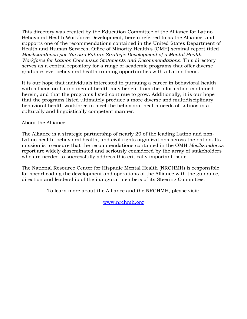This directory was created by the Education Committee of the Alliance for Latino Behavioral Health Workforce Development, herein referred to as the Alliance, and supports one of the recommendations contained in the United States Department of Health and Human Services, Office of Minority Health's (OMH) seminal report titled *Movilizandonos por Nuestro Futuro: Strategic Development of a Mental Health Workforce for Latinos Consensus Statements and Recommendations*. This directory serves as a central repository for a range of academic programs that offer diverse graduate level behavioral health training opportunities with a Latino focus.

It is our hope that individuals interested in pursuing a career in behavioral health with a focus on Latino mental health may benefit from the information contained herein, and that the programs listed continue to grow. Additionally, it is our hope that the programs listed ultimately produce a more diverse and multidisciplinary behavioral health workforce to meet the behavioral health needs of Latinos in a culturally and linguistically competent manner.

#### About the Alliance:

The Alliance is a strategic partnership of nearly 20 of the leading Latino and non-Latino health, behavioral health, and civil rights organizations across the nation. Its mission is to ensure that the recommendations contained in the OMH *Movilizandonos* report are widely disseminated and seriously considered by the array of stakeholders who are needed to successfully address this critically important issue.

The National Resource Center for Hispanic Mental Health (NRCHMH) is responsible for spearheading the development and operations of the Alliance with the guidance, direction and leadership of the inaugural members of its Steering Committee.

To learn more about the Alliance and the NRCHMH, please visit:

[www.nrchmh.org](http://www.nrchmh.org/)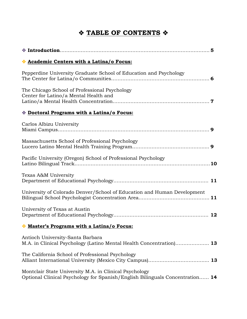# **TABLE OF CONTENTS**

| Academic Centers with a Latina/o Focus:                                                                                                |    |
|----------------------------------------------------------------------------------------------------------------------------------------|----|
| Pepperdine University Graduate School of Education and Psychology                                                                      |    |
| The Chicago School of Professional Psychology<br>Center for Latino/a Mental Health and                                                 |    |
| <b>Example 2 Doctoral Programs with a Latina/o Focus:</b>                                                                              |    |
| Carlos Albizu University                                                                                                               |    |
| Massachusetts School of Professional Psychology                                                                                        |    |
| Pacific University (Oregon) School of Professional Psychology                                                                          |    |
| Texas A&M University                                                                                                                   |    |
| University of Colorado Denver/School of Education and Human Development                                                                |    |
| University of Texas at Austin                                                                                                          |    |
| Master's Programs with a Latina/o Focus:                                                                                               |    |
| Antioch University-Santa Barbara<br>M.A. in Clinical Psychology (Latino Mental Health Concentration) 13                                |    |
| The California School of Professional Psychology                                                                                       | 13 |
| Montclair State University M.A. in Clinical Psychology<br>Optional Clinical Psychology for Spanish/English Bilinguals Concentration 14 |    |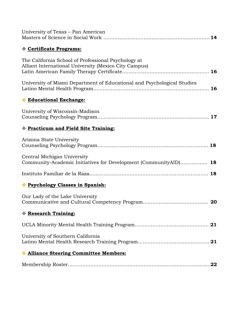| University of Texas – Pan American                                                                           |
|--------------------------------------------------------------------------------------------------------------|
| Certificate Programs:                                                                                        |
| The California School of Professional Psychology at<br>Alliant International University (Mexico City Campus) |
| University of Miami Department of Educational and Psychological Studies                                      |
| * Educational Exchange:                                                                                      |
| University of Wisconsin-Madison                                                                              |
| <b>Example 3 Practicum and Field Site Training:</b>                                                          |
| Arizona State University                                                                                     |
| Central Michigan University<br>Community-Academic Initiatives for Development (CommunityAID) 18              |
|                                                                                                              |
| * Psychology Classes in Spanish:                                                                             |
| Our Lady of the Lake University                                                                              |
| Research Training:                                                                                           |
|                                                                                                              |
| University of Southern California                                                                            |
| <b>Alliance Steering Committee Members:</b>                                                                  |
| .22                                                                                                          |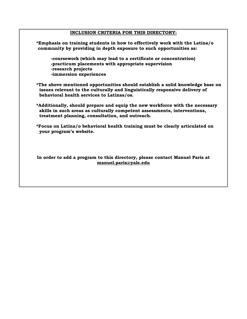#### **INCLUSION CRITERIA FOR THIS DIRECTORY:**

**\*Emphasis on training students in how to effectively work with the Latina/o community by providing in depth exposure to such opportunities as: -coursework (which may lead to a certificate or concentration) -practicum placements with appropriate supervision -research projects -immersion experiences \*The above mentioned opportunities should establish a solid knowledge base on issues relevant to the culturally and linguistically responsive delivery of behavioral health services to Latinas/os. \*Additionally, should prepare and equip the new workforce with the necessary skills in such areas as culturally competent assessments, interventions, treatment planning, consultation, and outreach. \*Focus on Latina/o behavioral health training must be clearly articulated on your program's website.** 

**In order to add a program to this directory, please contact Manuel Paris at manuel.paris@yale.edu**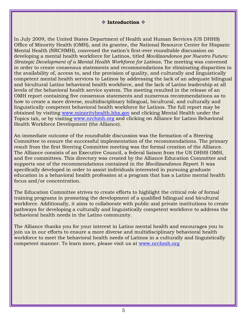#### **Introduction**

In July 2009, the United States Department of Health and Human Services (US DHHS) Office of Minority Health (OMH), and its grantee, the National Resource Center for Hispanic Mental Health (NRCHMH), convened the nation's first-ever roundtable discussion on developing a mental health workforce for Latinos, titled *Movilizandonos por Nuestro Futuro: Strategic Development of a Mental Health Workforce for Latinos*. The meeting was convened in order to create consensus statements and recommendations for eliminating disparities in the availability of, access to, and the provision of quality, and culturally and linguistically competent mental health services to Latinos by addressing the lack of an adequate bilingual and bicultural Latino behavioral health workforce, and the lack of Latino leadership at all levels of the behavioral health service system. The meeting resulted in the release of an OMH report containing five consensus statements and numerous recommendations as to how to create a more diverse, multidisciplinary bilingual, bicultural, and culturally and linguistically competent behavioral health workforce for Latinos. The full report may be obtained by visiting [www.minorityhealth.hhs.gov](http://www.minorityhealth.hhs.gov/) and clicking Mental Health under the Topics tab, or by visiting [www.nrchmh.org](http://www.nrchmh.org/) and clicking on Alliance for Latino Behavioral Health Workforce Development (the Alliance).

An immediate outcome of the roundtable discussion was the formation of a Steering Committee to ensure the successful implementation of the recommendations. The primary result from the first Steering Committee meeting was the formal creation of the Alliance. The Alliance consists of an Executive Council, a federal liaison from the US DHHS OMH, and five committees. This directory was created by the Alliance Education Committee and supports one of the recommendations contained in the *Movilizandonos Report*. It was specifically developed in order to assist individuals interested in pursuing graduate education in a behavioral health profession at a program that has a Latino mental health focus and/or concentration.

The Education Committee strives to create efforts to highlight the critical role of formal training programs in promoting the development of a qualified bilingual and bicultural workforce. Additionally, it aims to collaborate with public and private institutions to create pathways for developing a culturally and linguistically competent workforce to address the behavioral health needs in the Latino community.

The Alliance thanks you for your interest in Latino mental health and encourages you to join us in our efforts to ensure a more diverse and multidisciplinary behavioral health workforce to meet the behavioral health needs of Latinos in a culturally and linguistically competent manner. To learn more, please visit us at [www.nrchmh.org](http://www.nrchmh.org/)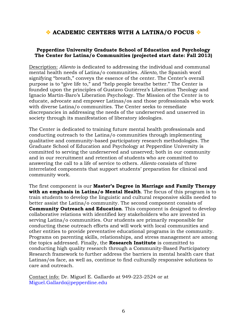# **ACADEMIC CENTERS WITH A LATINA/O FOCUS**  $\diamond$

#### **Pepperdine University Graduate School of Education and Psychology The Center for Latina/o Communities (projected start date: Fall 2013)**

Description: *Aliento* is dedicated to addressing the individual and communal mental health needs of Latina/o communities. *Aliento,* the Spanish word signifying "breath," conveys the essence of the center. The Center's overall purpose is to "give life to," and "help people breathe better." The Center is founded upon the principles of Gustavo Gutiérrez's Liberation Theology and Ignacio Martin-Baro's Liberation Psychology. The Mission of the Center is to educate, advocate and empower Latinas/os and those professionals who work with diverse Latina/o communities. The Center seeks to remediate discrepancies in addressing the needs of the underserved and unserved in society through its manifestation of liberatory ideologies.

The Center is dedicated to training future mental health professionals and conducting outreach to the Latina/o communities through implementing qualitative and community-based participatory research methodologies. The Graduate School of Education and Psychology at Pepperdine University is committed to serving the underserved and unserved; both in our community and in our recruitment and retention of students who are committed to answering the call to a life of service to others. *Aliento* consists of three interrelated components that support students' preparation for clinical and community work.

The first component is our **Master's Degree in Marriage and Family Therapy with an emphasis in Latina/o Mental Health**. The focus of this program is to train students to develop the linguistic and cultural responsive skills needed to better assist the Latina/o community. The second component consists of **Community Outreach and Education.** This component is designed to develop collaborative relations with identified key stakeholders who are invested in serving Latina/o communities. Our students are primarily responsible for conducting these outreach efforts and will work with local communities and other entities to provide preventative educational programs in the community. Programs on parenting skills, relationships, and stress management are among the topics addressed. Finally, the **Research Institute** is committed to conducting high quality research through a Community-Based Participatory Research framework to further address the barriers in mental health care that Latinas/os face, as well as, continue to find culturally responsive solutions to care and outreach.

Contact info: Dr. Miguel E. Gallardo at 949-223-2524 or at [Miguel.Gallardo@pepperdine.edu](mailto:Miguel.Gallardo@pepperdine.edu)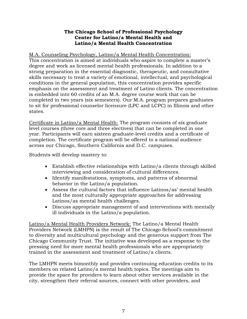#### **The Chicago School of Professional Psychology Center for Latino/a Mental Health and Latino/a Mental Health Concentration**

#### M.A. Counseling Psychology, Latino/a Mental Health Concentration:

This concentration is aimed at individuals who aspire to complete a master's degree and work as licensed mental health professionals. In addition to a strong preparation in the essential diagnostic, therapeutic, and consultative skills necessary to treat a variety of emotional, intellectual, and psychological conditions in the general population, this concentration provides specific emphasis on the assessment and treatment of Latino clients. The concentration is embedded into 60 credits of an M.A. degree course work that can be completed in two years (six semesters). Our M.A. program prepares graduates to sit for professional counselor licensure (LPC and LCPC) in Illinois and other states.

Certificate in Latino/a Mental Health: The program consists of six graduate level courses (three core and three electives) that can be completed in one year. Participants will earn sixteen graduate-level credits and a certificate of completion. The certificate program will be offered to a national audience across our Chicago, Southern California and D.C. campuses.

Students will develop mastery to:

- Establish effective relationships with Latino/a clients through skilled interviewing and consideration of cultural differences.
- Identify manifestations, symptoms, and patterns of abnormal behavior in the Latino/a population.
- Assess the cultural factors that influence Latinos/as' mental health and the most culturally appropriate approaches for addressing Latinos/as mental health challenges.
- Discuss appropriate management of and interventions with mentally ill individuals in the Latino/a population.

Latino/a Mental Health Providers Network: The Latino/a Mental Health Providers Network (LMHPN) is the result of The Chicago School's commitment to diversity and multicultural psychology and the generous support from The Chicago Community Trust. The initiative was developed as a response to the pressing need for more mental health professionals who are appropriately trained in the assessment and treatment of Latino/a clients.

The LMHPN meets bimonthly and provides continuing education credits to its members on related Latino/a mental health topics. The meetings aim to provide the space for providers to learn about other services available in the city, strengthen their referral sources, connect with other providers, and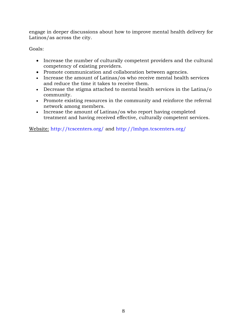engage in deeper discussions about how to improve mental health delivery for Latinos/as across the city.

Goals:

- Increase the number of culturally competent providers and the cultural competency of existing providers.
- Promote communication and collaboration between agencies.
- Increase the amount of Latinas/os who receive mental health services and reduce the time it takes to receive them.
- Decrease the stigma attached to mental health services in the Latina/o community.
- Promote existing resources in the community and reinforce the referral network among members.
- Increase the amount of Latinas/os who report having completed treatment and having received effective, culturally competent services.

Website: <http://tcscenters.org/> and<http://lmhpn.tcscenters.org/>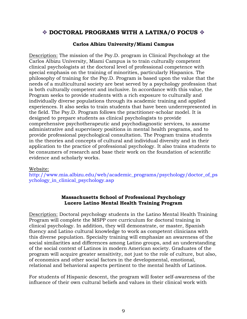# **DOCTORAL PROGRAMS WITH A LATINA/O FOCUS**

#### **Carlos Albizu University/Miami Campus**

Description: The mission of the Psy.D. program in Clinical Psychology at the Carlos Albizu University, Miami Campus is to train culturally competent clinical psychologists at the doctoral level of professional competence with special emphasis on the training of minorities, particularly Hispanics. The philosophy of training for the Psy.D. Program is based upon the value that the needs of a multicultural society are best served by a psychology profession that is both culturally competent and inclusive. In accordance with this value, the Program seeks to provide students with a rich exposure to culturally and individually diverse populations through its academic training and applied experiences. It also seeks to train students that have been underrepresented in the field. The Psy.D. Program follows the practitioner-scholar model. It is designed to prepare students as clinical psychologists to provide comprehensive psychotherapeutic and psychodiagnostic services, to assume administrative and supervisory positions in mental health programs, and to provide professional psychological consultation. The Program trains students in the theories and concepts of cultural and individual diversity and in their application to the practice of professional psychology. It also trains students to be consumers of research and base their work on the foundation of scientific evidence and scholarly works.

#### Website:

[http://www.mia.albizu.edu/web/academic\\_programs/psychology/doctor\\_of\\_ps](http://www.mia.albizu.edu/web/academic_programs/psychology/doctor_of_psychology_in_clinical_psychology.asp) [ychology\\_in\\_clinical\\_psychology.asp](http://www.mia.albizu.edu/web/academic_programs/psychology/doctor_of_psychology_in_clinical_psychology.asp)

#### **Massachusetts School of Professional Psychology Lucero Latino Mental Health Training Program**

Description: Doctoral psychology students in the Latino Mental Health Training Program will complete the MSPP core curriculum for doctoral training in clinical psychology. In addition, they will demonstrate, or master, Spanish fluency and Latino cultural knowledge to work as competent clinicians with this diverse population. Specialty training will emphasize an awareness of the social similarities and differences among Latino groups, and an understanding of the social context of Latinos in modern American society. Graduates of the program will acquire greater sensitivity, not just to the role of culture, but also, of economics and other social factors in the developmental, emotional, relational and behavioral aspects pertinent to the mental health of Latinos.

For students of Hispanic descent, the program will foster self-awareness of the influence of their own cultural beliefs and values in their clinical work with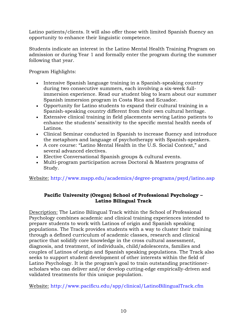Latino patients/clients. It will also offer those with limited Spanish fluency an opportunity to enhance their linguistic competence.

Students indicate an interest in the Latino Mental Health Training Program on admission or during Year 1 and formally enter the program during the summer following that year.

Program Highlights:

- Intensive Spanish language training in a Spanish-speaking country during two consecutive summers, each involving a six-week fullimmersion experience. Read our student blog to learn about our summer Spanish immersion program in Costa Rica and Ecuador.
- Opportunity for Latino students to expand their cultural training in a Spanish-speaking country different from their own cultural heritage.
- Extensive clinical training in field placements serving Latino patients to enhance the students' sensitivity to the specific mental health needs of Latinos.
- Clinical Seminar conducted in Spanish to increase fluency and introduce the metaphors and language of psychotherapy with Spanish-speakers.
- A core course: "Latino Mental Health in the U.S. Social Context," and several advanced electives.
- Elective Conversational Spanish groups & cultural events.
- Multi-program participation across Doctoral & Masters programs of Study.

Website: <http://www.mspp.edu/academics/degree-programs/psyd/latino.asp>

#### **Pacific University (Oregon) School of Professional Psychology – Latino Bilingual Track**

Description: The Latino Bilingual Track within the School of Professional Psychology combines academic and clinical training experiences intended to prepare students to work with Latinos of origin and Spanish speaking populations. The Track provides students with a way to cluster their training through a defined curriculum of academic classes, research and clinical practice that solidify core knowledge in the cross cultural assessment, diagnosis, and treatment, of individuals, child/adolescents, families and couples of Latinos of origin and Spanish speaking populations. The Track also seeks to support student development of other interests within the field of Latino Psychology. It is the program's goal to train outstanding practitionerscholars who can deliver and/or develop cutting-edge empirically-driven and validated treatments for this unique population.

Website: <http://www.pacificu.edu/spp/clinical/LatinoBilingualTrack.cfm>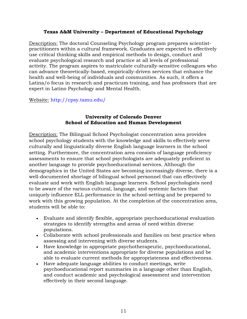#### **Texas A&M University – Department of Educational Psychology**

Description: The doctoral Counseling Psychology program prepares scientistpractitioners within a cultural framework. Graduates are expected to effectively use critical thinking skills and empirical methods to design, conduct and evaluate psychological research and practice at all levels of professional activity. The program aspires to matriculate culturally-sensitive colleagues who can advance theoretically-based, empirically-driven services that enhance the health and well-being of individuals and communities. As such, it offers a Latina/o focus in research and practicum training, and has professors that are expert in Latino Psychology and Mental Health.

Website: <http://cpsy.tamu.edu/>

#### **University of Colorado Denver School of Education and Human Development**

Description: The Bilingual School Psychologist concentration area provides school psychology students with the knowledge and skills to effectively serve culturally and linguistically diverse English language learners in the school setting. Furthermore, the concentration area consists of language proficiency assessments to ensure that school psychologists are adequately proficient in another language to provide psychoeducational services. Although the demographics in the United States are becoming increasingly diverse, there is a well-documented shortage of bilingual school personnel that can effectively evaluate and work with English language learners. School psychologists need to be aware of the various cultural, language, and systemic factors that uniquely influence ELL performance in the school-setting and be prepared to work with this growing population. At the completion of the concentration area, students will be able to:

- Evaluate and identify flexible, appropriate psychoeducational evaluation strategies to identify strengths and areas of need within diverse populations.
- Collaborate with school professionals and families on best practice when assessing and intervening with diverse students.
- Have knowledge in appropriate psychotherapeutic, psychoeducational, and academic interventions appropriate for diverse populations and be able to evaluate current methods for appropriateness and effectiveness.
- Have adequate language abilities to conduct meetings, write psychoeducational report summaries in a language other than English, and conduct academic and psychological assessment and intervention effectively in their second language.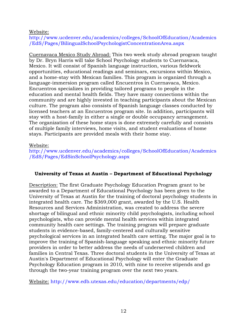#### Website:

[http://www.ucdenver.edu/academics/colleges/SchoolOfEducation/Academics](http://www.ucdenver.edu/academics/colleges/SchoolOfEducation/Academics/EdS/Pages/BilingualSchoolPsychologistConcentrationArea.aspx) [/EdS/Pages/BilingualSchoolPsychologistConcentrationArea.aspx](http://www.ucdenver.edu/academics/colleges/SchoolOfEducation/Academics/EdS/Pages/BilingualSchoolPsychologistConcentrationArea.aspx)

Cuernavaca Mexico Study Abroad: This two week study abroad program taught by Dr. Bryn Harris will take School Psychology students to Cuernavaca, Mexico. It will consist of Spanish language instruction, various fieldwork opportunities, educational readings and seminars, excursions within Mexico, and a home-stay with Mexican families. This program is organized through a language-immersion program called Encuentros in Cuernavaca, Mexico. Encuentros specializes in providing tailored programs to people in the education and mental health fields. They have many connections within the community and are highly invested in teaching participants about the Mexican culture. The program also consists of Spanish language classes conducted by licensed teachers at an Encuentros program site. In addition, participants will stay with a host-family in either a single or double occupancy arrangement. The organization of these home stays is done extremely carefully and consists of multiple family interviews, home visits, and student evaluations of home stays. Participants are provided meals with their home stay.

#### Website:

[http://www.ucdenver.edu/academics/colleges/SchoolOfEducation/Academics](http://www.ucdenver.edu/academics/colleges/SchoolOfEducation/Academics/EdS/Pages/EdSinSchoolPsychology.aspx) [/EdS/Pages/EdSinSchoolPsychology.aspx](http://www.ucdenver.edu/academics/colleges/SchoolOfEducation/Academics/EdS/Pages/EdSinSchoolPsychology.aspx)

#### **University of Texas at Austin – Department of Educational Psychology**

Description: The first Graduate Psychology Education Program grant to be awarded to a [Department of Educational Psychology](http://www.edb.utexas.edu/education/departments/edp/) has been given to the University of Texas at Austin for the training of doctoral psychology students in integrated health care. The \$369,000 grant, awarded by the U.S. Health Resources and Services Administration, was created to address the severe shortage of bilingual and ethnic minority child psychologists, including school psychologists, who can provide mental health services within integrated community health care settings. The training program will prepare graduate students in evidence-based, family-centered and culturally sensitive psychological services in an integrated health care setting. The major goal is to improve the training of Spanish-language speaking and ethnic minority future providers in order to better address the needs of underserved children and families in Central Texas. Three doctoral students in the University of Texas at Austin's Department of Educational Psychology will enter the Graduate Psychology Education program in 2010, with nine to receive stipends and go through the two-year training program over the next two years.

Website: <http://www.edb.utexas.edu/education/departments/edp/>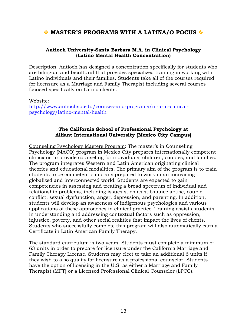### **MASTER'S PROGRAMS WITH A LATINA/O FOCUS**  $\diamond$

#### **Antioch University-Santa Barbara M.A. in Clinical Psychology (Latino Mental Health Concentration)**

Description: Antioch has designed a concentration specifically for students who are bilingual and bicultural that provides specialized training in working with Latino individuals and their families. Students take all of the courses required for licensure as a Marriage and Family Therapist including several courses focused specifically on Latino clients.

Website:

[http://www.antiochsb.edu/courses-and-programs/m-a-in-clinical](http://www.antiochsb.edu/courses-and-programs/m-a-in-clinical-psychology/latino-mental-health)[psychology/latino-mental-health](http://www.antiochsb.edu/courses-and-programs/m-a-in-clinical-psychology/latino-mental-health)

#### **The California School of Professional Psychology at Alliant International University (Mexico City Campus)**

Counseling Psychology Masters Program: The master's in Counseling Psychology (MACO) program in Mexico City prepares internationally competent clinicians to provide counseling for individuals, children, couples, and families. The program integrates Western and Latin American originating clinical theories and educational modalities. The primary aim of the program is to train students to be competent clinicians prepared to work in an increasing globalized and interconnected world. Students are expected to gain competencies in assessing and treating a broad spectrum of individual and relationship problems, including issues such as substance abuse, couple conflict, sexual dysfunction, anger, depression, and parenting. In addition, students will develop an awareness of indigenous psychologies and various applications of these approaches in clinical practice. Training assists students in understanding and addressing contextual factors such as oppression, injustice, poverty, and other social realities that impact the lives of clients. Students who successfully complete this program will also automatically earn a Certificate in Latin American Family Therapy.

The standard curriculum is two years. Students must complete a minimum of 63 units in order to prepare for licensure under the California Marriage and Family Therapy License. Students may elect to take an additional 6 units if they wish to also qualify for licensure as a professional counselor. Students have the option of licensing in the U.S. as either a Marriage and Family Therapist (MFT) or a Licensed Professional Clinical Counselor (LPCC).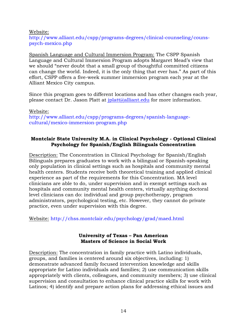Website: [http://www.alliant.edu/cspp/programs-degrees/clinical-counseling/couns](http://www.alliant.edu/cspp/programs-degrees/clinical-counseling/couns-psych-mexico.php)[psych-mexico.php](http://www.alliant.edu/cspp/programs-degrees/clinical-counseling/couns-psych-mexico.php)

Spanish Language and Cultural Immersion Program: The CSPP Spanish Language and Cultural Immersion Program adopts Margaret Mead's view that we should "never doubt that a small group of thoughtful committed citizens can change the world. Indeed, it is the only thing that ever has." As part of this effort, CSPP offers a five-week summer immersion program each year at the Alliant Mexico City campus.

Since this program goes to different locations and has other changes each year, please contact Dr. Jason Platt at [jplatt@alliant.edu](mailto:jplatt@alliant.edu) for more information.

Website: [http://www.alliant.edu/cspp/programs-degrees/spanish-language](http://www.alliant.edu/cspp/programs-degrees/spanish-language-cultural/mexico-immersion-program.php)[cultural/mexico-immersion-program.php](http://www.alliant.edu/cspp/programs-degrees/spanish-language-cultural/mexico-immersion-program.php)

#### **Montclair State University M.A. in Clinical Psychology - Optional Clinical Psychology for Spanish/English Bilinguals Concentration**

Description: The Concentration in Clinical Psychology for Spanish/English Bilinguals prepares graduates to work with a bilingual or Spanish-speaking only population in clinical settings such as hospitals and community mental health centers. Students receive both theoretical training and applied clinical experience as part of the requirements for this Concentration. MA level clinicians are able to do, under supervision and in exempt settings such as hospitals and community mental health centers, virtually anything doctoral level clinicians can do: individual and group psychotherapy, program administrators, psychological testing, etc. However, they cannot do private practice, even under supervision with this degree.

Website: <http://chss.montclair.edu/psychology/grad/maed.html>

#### **University of Texas – Pan American Masters of Science in Social Work**

Description: The concentration in family practice with Latino individuals, groups, and families is centered around six objectives, including: 1) demonstrate advanced family focused intervention knowledge and skills appropriate for Latino individuals and families; 2) use communication skills appropriately with clients, colleagues, and community members; 3) use clinical supervision and consultation to enhance clinical practice skills for work with Latinos; 4) identify and prepare action plans for addressing ethical issues and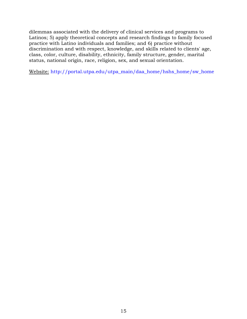dilemmas associated with the delivery of clinical services and programs to Latinos; 5) apply theoretical concepts and research findings to family focused practice with Latino individuals and families; and 6) practice without discrimination and with respect, knowledge, and skills related to clients' age, class, color, culture, disability, ethnicity, family structure, gender, marital status, national origin, race, religion, sex, and sexual orientation.

Website: [http://portal.utpa.edu/utpa\\_main/daa\\_home/hshs\\_home/sw\\_home](http://portal.utpa.edu/utpa_main/daa_home/hshs_home/sw_home)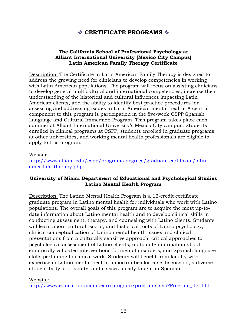# **CERTIFICATE PROGRAMS**

#### **The California School of Professional Psychology at Alliant International University (Mexico City Campus) Latin American Family Therapy Certificate**

Description: The Certificate in Latin American Family Therapy is designed to address the growing need for clinicians to develop competencies in working with Latin American populations. The program will focus on assisting clinicians to develop general multicultural and international competencies, increase their understanding of the historical and cultural influences impacting Latin American clients, and the ability to identify best practice procedures for assessing and addressing issues in Latin American mental health. A central component to this program is participation in the five-week CSPP Spanish Language and Cultural Immersion Program. This program takes place each summer at Alliant International University's Mexico City campus. Students enrolled in clinical programs at CSPP, students enrolled in graduate programs at other universities, and working mental health professionals are eligible to apply to this program.

#### Website:

[http://www.alliant.edu/cspp/programs-degrees/graduate-certificate/latin](http://www.alliant.edu/cspp/programs-degrees/graduate-certificate/latin-amer-fam-therapy.php)[amer-fam-therapy.php](http://www.alliant.edu/cspp/programs-degrees/graduate-certificate/latin-amer-fam-therapy.php)

#### **University of Miami Department of Educational and Psychological Studies Latino Mental Health Program**

Description: The Latino Mental Health Program is a 12-credit certificate graduate program in Latino mental health for individuals who work with Latino populations. The overall goals of this program are to acquire the most up-todate information about Latino mental health and to develop clinical skills in conducting assessment, therapy, and counseling with Latino clients. Students will learn about cultural, social, and historical roots of Latino psychology, clinical conceptualization of Latino mental health issues and clinical presentations from a culturally sensitive approach; critical approaches to psychological assessment of Latino clients; up to date information about empirically validated interventions for mental disorders; and Spanish language skills pertaining to clinical work. Students will benefit from faculty with expertise in Latino mental health, opportunities for case discussion, a diverse student body and faculty, and classes mostly taught in Spanish.

#### Website:

[http://www.education.miami.edu/program/programs.asp?Program\\_ID=141](http://www.education.miami.edu/program/programs.asp?Program_ID=141)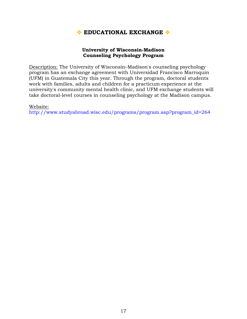# **EDUCATIONAL EXCHANGE**

#### **University of Wisconsin-Madison Counseling Psychology Program**

Description: The University of Wisconsin–Madison's counseling psychology program has an exchange agreement with Universidad Francisco Marroquin (UFM) in Guatemala City this year. Through the program, doctoral students work with families, adults and children for a practicum experience at the university's community mental health clinic, and UFM exchange students will take doctoral-level courses in counseling psychology at the Madison campus.

#### Website:

[http://www.studyabroad.wisc.edu/programs/program.asp?program\\_id=264](http://www.studyabroad.wisc.edu/programs/program.asp?program_id=264)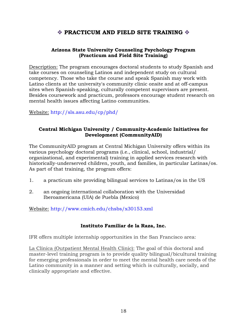# **PRACTICUM AND FIELD SITE TRAINING**  $\&$

#### **Arizona State University Counseling Psychology Program (Practicum and Field Site Training)**

Description: The program encourages doctoral students to study Spanish and take courses on counseling Latinos and independent study on cultural competency. Those who take the course and speak Spanish may work with Latino clients at the university's community clinic onsite and at off-campus sites when Spanish-speaking, culturally competent supervisors are present. Besides coursework and practicum, professors encourage student research on mental health issues affecting Latino communities.

Website: <http://sls.asu.edu/cp/phd/>

#### **Central Michigan University / Community-Academic Initiatives for Development (CommunityAID)**

The CommunityAID program at Central Michigan University offers within its various psychology doctoral programs (i.e., clinical, school, industrial/ organizational, and experimental) training in applied services research with historically-underserved children, youth, and families, in particular Latinas/os. As part of that training, the program offers:

- 1. a practicum site providing bilingual services to Latinas/os in the US
- 2. an ongoing international collaboration with the Universidad Iberoamericana (UIA) de Puebla (Mexico)

Website: <http://www.cmich.edu/chsbs/x30153.xml>

#### **Instituto Familiar de la Raza, Inc.**

IFR offers multiple internship opportunities in the San Francisco area:

La Clínica (Outpatient Mental Health Clinic): The goal of this doctoral and master-level training program is to provide quality bilingual/bicultural training for emerging professionals in order to meet the mental health care needs of the Latino community in a manner and setting which is culturally, socially, and clinically appropriate and effective.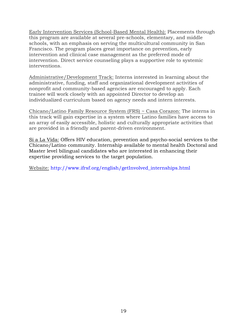Early Intervention Services (School-Based Mental Health): Placements through this program are available at several pre-schools, elementary, and middle schools, with an emphasis on serving the multicultural community in San Francisco. The program places great importance on prevention, early intervention and clinical case management as the preferred mode of intervention. Direct service counseling plays a supportive role to systemic interventions.

Administrative/Development Track: Interns interested in learning about the administrative, funding, staff and organizational development activities of nonprofit and community-based agencies are encouraged to apply. Each trainee will work closely with an appointed Director to develop an individualized curriculum based on agency needs and intern interests.

Chicano/Latino Family Resource System (FRS) ~ Casa Corazon: The interns in this track will gain expertise in a system where Latino families have access to an array of easily accessible, holistic and culturally appropriate activities that are provided in a friendly and parent-driven environment.

Si a La Vida: Offers HIV education, prevention and psycho-social services to the Chicano/Latino community. Internship available to mental health Doctoral and Master level bilingual candidates who are interested in enhancing their expertise providing services to the target population.

Website: [http://www.ifrsf.org/english/getInvolved\\_internships.html](http://www.ifrsf.org/english/getInvolved_internships.html)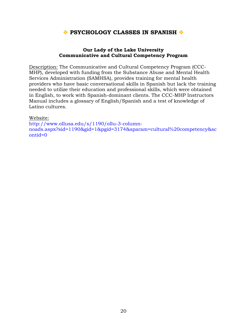# **PSYCHOLOGY CLASSES IN SPANISH**  $\bullet$

#### **Our Lady of the Lake University Communicative and Cultural Competency Program**

Description: The Communicative and Cultural Competency Program (CCC-MHP), developed with funding from the Substance Abuse and Mental Health Services Administration (SAMHSA), provides training for mental health providers who have basic conversational skills in Spanish but lack the training needed to utilize their education and professional skills, which were obtained in English, to work with Spanish-dominant clients. The [CCC-MHP Instructors](http://www.ollusa.edu/s/1190/images/editor_documents/Psych/CCC-MHP%20Manual-R.pdf)  [Manual](http://www.ollusa.edu/s/1190/images/editor_documents/Psych/CCC-MHP%20Manual-R.pdf) includes a glossary of English/Spanish and a test of knowledge of Latino cultures.

#### Website:

[http://www.ollusa.edu/s/1190/ollu-3-column](http://www.ollusa.edu/s/1190/ollu-3-column-noads.aspx?sid=1190&gid=1&pgid=3174&sparam=cultural%20competency&scontid=0)[noads.aspx?sid=1190&gid=1&pgid=3174&sparam=cultural%20competency&sc](http://www.ollusa.edu/s/1190/ollu-3-column-noads.aspx?sid=1190&gid=1&pgid=3174&sparam=cultural%20competency&scontid=0) [ontid=0](http://www.ollusa.edu/s/1190/ollu-3-column-noads.aspx?sid=1190&gid=1&pgid=3174&sparam=cultural%20competency&scontid=0)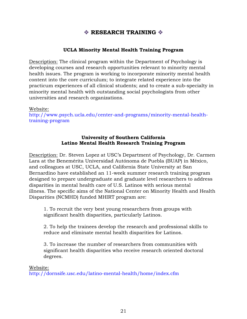# **EXECUTE TRAINING**

#### **UCLA Minority Mental Health Training Program**

Description: The [clinical program](http://www.psych.ucla.edu/graduate/areas-of-study-1/clinical-psychology) within the Department of Psychology is developing courses and research opportunities relevant to minority mental health issues. The program is working to incorporate minority mental health content into the core curriculum; to integrate related experience into the practicum experiences of all clinical students; and to create a sub-specialty in minority mental health with outstanding social psychologists from other universities and research organizations.

#### Website:

[http://www.psych.ucla.edu/center-and-programs/minority-mental-health](http://www.psych.ucla.edu/center-and-programs/minority-mental-health-training-program)[training-program](http://www.psych.ucla.edu/center-and-programs/minority-mental-health-training-program)

#### **University of Southern California Latino Mental Health Research Training Program**

Description: Dr. Steven Lopez at USC's Department of Psychology, Dr. Carmen Lara at the Benemérita Universidad Autónoma de Puebla (BUAP) in México, and colleagues at USC, UCLA, and California State University at San Bernardino have established an 11-week summer research training program designed to prepare undergraduate and graduate level researchers to address disparities in mental health care of U.S. Latinos with serious mental illness. The specific aims of the National Center on Minority Health and Health Disparities (NCMHD) funded MHIRT program are:

1. To recruit the very best young researchers from groups with significant health disparities, particularly Latinos.

2. To help the trainees develop the research and professional skills to reduce and eliminate mental health disparities for Latinos.

3. To increase the number of researchers from communities with significant health disparities who receive research oriented doctoral degrees.

#### Website:

<http://dornsife.usc.edu/latino-mental-health/home/index.cfm>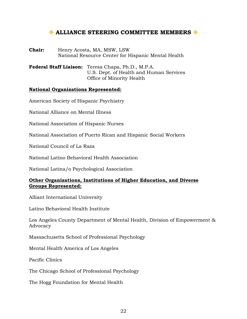## **ALLIANCE STEERING COMMITTEE MEMBERS**

**Chair:** Henry Acosta, MA, MSW, LSW National Resource Center for Hispanic Mental Health

**Federal Staff Liaison:** Teresa Chapa, Ph.D., M.P.A. U.S. Dept. of Health and Human Services Office of Minority Health

#### **National Organizations Represented:**

American Society of Hispanic Psychiatry

National Alliance on Mental Illness

National Association of Hispanic Nurses

National Association of Puerto Rican and Hispanic Social Workers

National Council of La Raza

National Latino Behavioral Health Association

National Latina/o Psychological Association

#### **Other Organizations, Institutions of Higher Education, and Diverse Groups Represented:**

Alliant International University

Latino Behavioral Health Institute

Los Angeles County Department of Mental Health, Division of Empowerment & Advocacy

Massachusetts School of Professional Psychology

Mental Health America of Los Angeles

Pacific Clinics

The Chicago School of Professional Psychology

The Hogg Foundation for Mental Health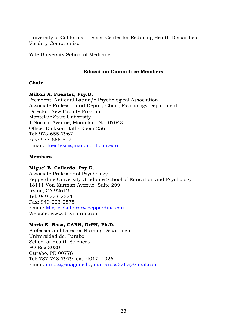University of California – Davis, Center for Reducing Health Disparities Visión y Compromiso

Yale University School of Medicine

#### **Education Committee Members**

#### **Chair**

#### **Milton A. Fuentes, Psy.D.**

President, National Latina/o Psychological Association Associate Professor and Deputy Chair, Psychology Department Director, New Faculty Program Montclair State University 1 Normal Avenue, Montclair, NJ 07043 Office: Dickson Hall - Room 256 Tel: 973-655-7967 Fax: 973-655-5121 Email: [fuentesm@mail.montclair.edu](mailto:fuentesm@mail.montclair.edu)

#### **Members**

#### **Miguel E. Gallardo, Psy.D.**

Associate Professor of Psychology Pepperdine University Graduate School of Education and Psychology 18111 Von Karman Avenue, Suite 209 Irvine, CA 92612 Tel: 949 223-2524 Fax: 949-223-2575 Email: [Miguel.Gallardo@pepperdine.edu](mailto:Miguel.Gallardo@pepperdine.edu) Website: www.drgallardo.com

#### **Maria E. Rosa, CARN, DrPH, Ph.D.**

Professor and Director Nursing Department Universidad del Turabo School of Health Sciences PO Box 3030 Gurabo, PR 00778 Tel: 787-743-7979, ext. 4017, 4026 Email: [mrosa@suagm.edu;](mailto:mrosa@suagm.edu) [mariarosa5262@gmail.com](mailto:mariarosa5262@gmail.com)